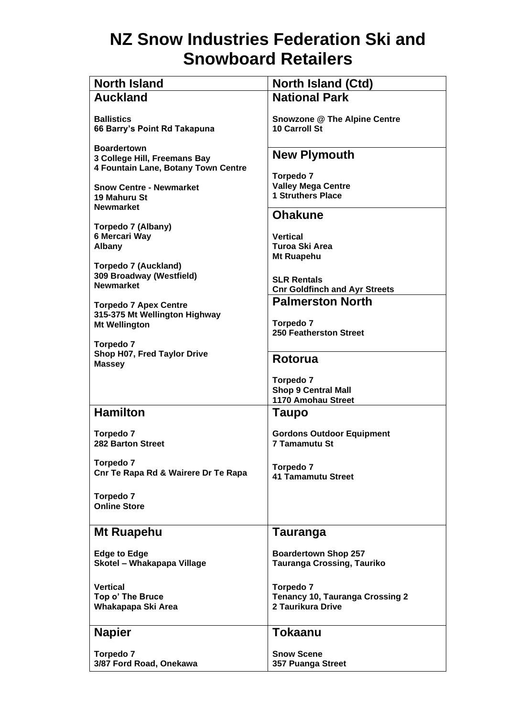## **NZ Snow Industries Federation Ski and Snowboard Retailers**

| <b>North Island</b>                                     | <b>North Island (Ctd)</b>                                  |
|---------------------------------------------------------|------------------------------------------------------------|
| <b>Auckland</b>                                         | <b>National Park</b>                                       |
| <b>Ballistics</b>                                       | <b>Snowzone @ The Alpine Centre</b>                        |
| 66 Barry's Point Rd Takapuna                            | 10 Carroll St                                              |
| <b>Boardertown</b>                                      |                                                            |
| 3 College Hill, Freemans Bay                            | <b>New Plymouth</b>                                        |
| 4 Fountain Lane, Botany Town Centre                     | Torpedo 7                                                  |
| <b>Snow Centre - Newmarket</b>                          | <b>Valley Mega Centre</b>                                  |
| 19 Mahuru St<br><b>Newmarket</b>                        | <b>1 Struthers Place</b>                                   |
|                                                         | <b>Ohakune</b>                                             |
| Torpedo 7 (Albany)                                      |                                                            |
| 6 Mercari Way<br><b>Albany</b>                          | <b>Vertical</b><br>Turoa Ski Area                          |
|                                                         | Mt Ruapehu                                                 |
| <b>Torpedo 7 (Auckland)</b><br>309 Broadway (Westfield) |                                                            |
| <b>Newmarket</b>                                        | <b>SLR Rentals</b><br><b>Cnr Goldfinch and Ayr Streets</b> |
| <b>Torpedo 7 Apex Centre</b>                            | <b>Palmerston North</b>                                    |
| 315-375 Mt Wellington Highway                           |                                                            |
| <b>Mt Wellington</b>                                    | Torpedo 7<br><b>250 Featherston Street</b>                 |
| Torpedo 7                                               |                                                            |
| Shop H07, Fred Taylor Drive<br><b>Massey</b>            | Rotorua                                                    |
|                                                         | <b>Torpedo 7</b>                                           |
|                                                         | <b>Shop 9 Central Mall</b>                                 |
| <b>Hamilton</b>                                         | 1170 Amohau Street                                         |
|                                                         | Taupo                                                      |
| <b>Torpedo 7</b>                                        | <b>Gordons Outdoor Equipment</b>                           |
| <b>282 Barton Street</b>                                | 7 Tamamutu St                                              |
| <b>Torpedo 7</b>                                        | <b>Torpedo 7</b>                                           |
| Cnr Te Rapa Rd & Wairere Dr Te Rapa                     | <b>41 Tamamutu Street</b>                                  |
| Torpedo 7                                               |                                                            |
| <b>Online Store</b>                                     |                                                            |
|                                                         |                                                            |
| Mt Ruapehu                                              | <b>Tauranga</b>                                            |
| <b>Edge to Edge</b>                                     | <b>Boardertown Shop 257</b>                                |
| Skotel - Whakapapa Village                              | <b>Tauranga Crossing, Tauriko</b>                          |
| <b>Vertical</b>                                         | <b>Torpedo 7</b>                                           |
| Top o' The Bruce                                        | <b>Tenancy 10, Tauranga Crossing 2</b>                     |
| Whakapapa Ski Area                                      | 2 Taurikura Drive                                          |
| <b>Napier</b>                                           | <b>Tokaanu</b>                                             |
|                                                         |                                                            |
| Torpedo 7<br>3/87 Ford Road, Onekawa                    | <b>Snow Scene</b><br>357 Puanga Street                     |